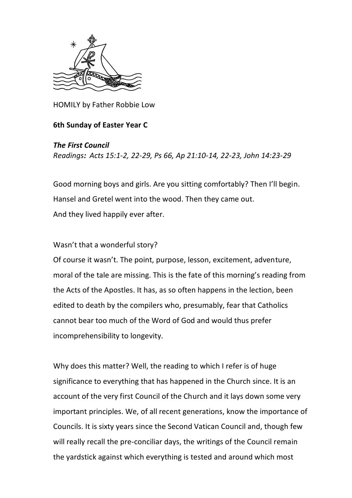

HOMILY by Father Robbie Low

## **6th Sunday of Easter Year C**

## *The First Council*

*Readings: Acts 15:1-2, 22-29, Ps 66, Ap 21:10-14, 22-23, John 14:23-29*

Good morning boys and girls. Are you sitting comfortably? Then I'll begin. Hansel and Gretel went into the wood. Then they came out. And they lived happily ever after.

## Wasn't that a wonderful story?

Of course it wasn't. The point, purpose, lesson, excitement, adventure, moral of the tale are missing. This is the fate of this morning's reading from the Acts of the Apostles. It has, as so often happens in the lection, been edited to death by the compilers who, presumably, fear that Catholics cannot bear too much of the Word of God and would thus prefer incomprehensibility to longevity.

Why does this matter? Well, the reading to which I refer is of huge significance to everything that has happened in the Church since. It is an account of the very first Council of the Church and it lays down some very important principles. We, of all recent generations, know the importance of Councils. It is sixty years since the Second Vatican Council and, though few will really recall the pre-conciliar days, the writings of the Council remain the yardstick against which everything is tested and around which most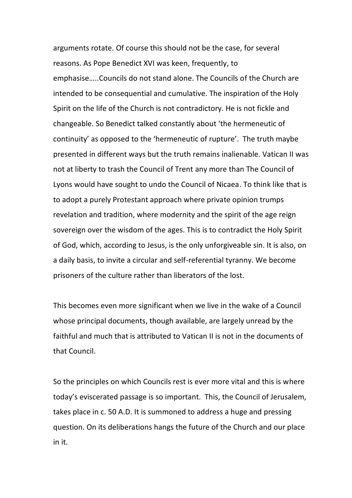arguments rotate. Of course this should not be the case, for several reasons. As Pope Benedict XVI was keen, frequently, to emphasise…..Councils do not stand alone. The Councils of the Church are intended to be consequential and cumulative. The inspiration of the Holy Spirit on the life of the Church is not contradictory. He is not fickle and changeable. So Benedict talked constantly about 'the hermeneutic of continuity' as opposed to the 'hermeneutic of rupture'. The truth maybe presented in different ways but the truth remains inalienable. Vatican II was not at liberty to trash the Council of Trent any more than The Council of Lyons would have sought to undo the Council of Nicaea. To think like that is to adopt a purely Protestant approach where private opinion trumps revelation and tradition, where modernity and the spirit of the age reign sovereign over the wisdom of the ages. This is to contradict the Holy Spirit of God, which, according to Jesus, is the only unforgiveable sin. It is also, on a daily basis, to invite a circular and self-referential tyranny. We become prisoners of the culture rather than liberators of the lost.

This becomes even more significant when we live in the wake of a Council whose principal documents, though available, are largely unread by the faithful and much that is attributed to Vatican II is not in the documents of that Council.

So the principles on which Councils rest is ever more vital and this is where today's eviscerated passage is so important. This, the Council of Jerusalem, takes place in c. 50 A.D. It is summoned to address a huge and pressing question. On its deliberations hangs the future of the Church and our place in it.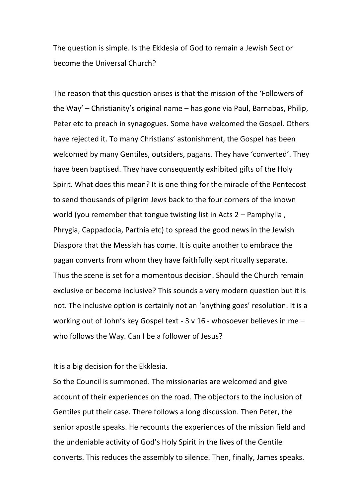The question is simple. Is the Ekklesia of God to remain a Jewish Sect or become the Universal Church?

The reason that this question arises is that the mission of the 'Followers of the Way' – Christianity's original name – has gone via Paul, Barnabas, Philip, Peter etc to preach in synagogues. Some have welcomed the Gospel. Others have rejected it. To many Christians' astonishment, the Gospel has been welcomed by many Gentiles, outsiders, pagans. They have 'converted'. They have been baptised. They have consequently exhibited gifts of the Holy Spirit. What does this mean? It is one thing for the miracle of the Pentecost to send thousands of pilgrim Jews back to the four corners of the known world (you remember that tongue twisting list in Acts 2 – Pamphylia , Phrygia, Cappadocia, Parthia etc) to spread the good news in the Jewish Diaspora that the Messiah has come. It is quite another to embrace the pagan converts from whom they have faithfully kept ritually separate. Thus the scene is set for a momentous decision. Should the Church remain exclusive or become inclusive? This sounds a very modern question but it is not. The inclusive option is certainly not an 'anything goes' resolution. It is a working out of John's key Gospel text - 3 v 16 - whosoever believes in me – who follows the Way. Can I be a follower of Jesus?

It is a big decision for the Ekklesia.

So the Council is summoned. The missionaries are welcomed and give account of their experiences on the road. The objectors to the inclusion of Gentiles put their case. There follows a long discussion. Then Peter, the senior apostle speaks. He recounts the experiences of the mission field and the undeniable activity of God's Holy Spirit in the lives of the Gentile converts. This reduces the assembly to silence. Then, finally, James speaks.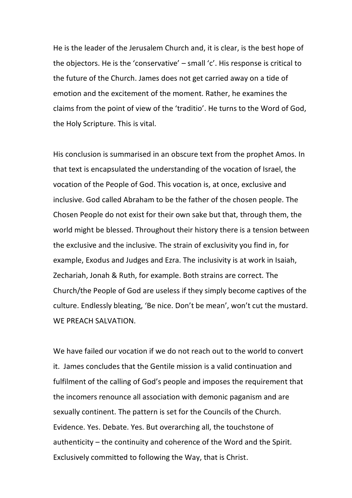He is the leader of the Jerusalem Church and, it is clear, is the best hope of the objectors. He is the 'conservative' – small 'c'. His response is critical to the future of the Church. James does not get carried away on a tide of emotion and the excitement of the moment. Rather, he examines the claims from the point of view of the 'traditio'. He turns to the Word of God, the Holy Scripture. This is vital.

His conclusion is summarised in an obscure text from the prophet Amos. In that text is encapsulated the understanding of the vocation of Israel, the vocation of the People of God. This vocation is, at once, exclusive and inclusive. God called Abraham to be the father of the chosen people. The Chosen People do not exist for their own sake but that, through them, the world might be blessed. Throughout their history there is a tension between the exclusive and the inclusive. The strain of exclusivity you find in, for example, Exodus and Judges and Ezra. The inclusivity is at work in Isaiah, Zechariah, Jonah & Ruth, for example. Both strains are correct. The Church/the People of God are useless if they simply become captives of the culture. Endlessly bleating, 'Be nice. Don't be mean', won't cut the mustard. WE PREACH SALVATION.

We have failed our vocation if we do not reach out to the world to convert it. James concludes that the Gentile mission is a valid continuation and fulfilment of the calling of God's people and imposes the requirement that the incomers renounce all association with demonic paganism and are sexually continent. The pattern is set for the Councils of the Church. Evidence. Yes. Debate. Yes. But overarching all, the touchstone of authenticity – the continuity and coherence of the Word and the Spirit. Exclusively committed to following the Way, that is Christ.